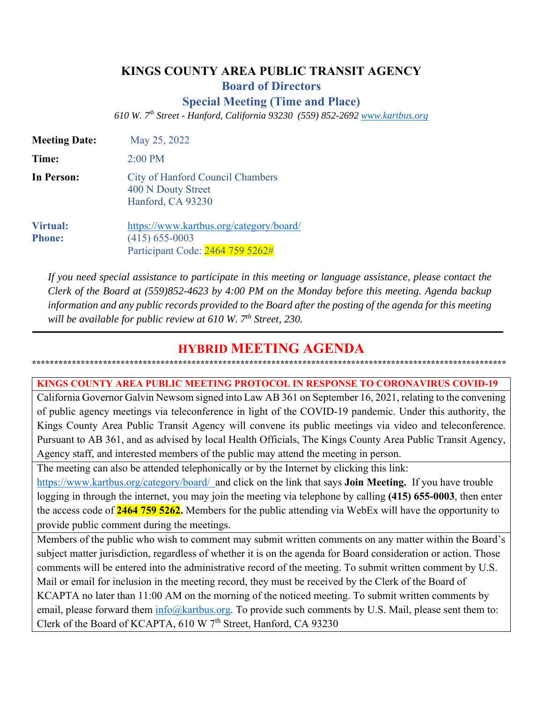# **KINGS COUNTY AREA PUBLIC TRANSIT AGENCY**

**Board of Directors** 

**Special Meeting (Time and Place)** 

*610 W. 7th Street - Hanford, California 93230 (559) 852-2692 www.kartbus.org* 

| <b>Meeting Date:</b>             | May 25, 2022                                                                                    |  |
|----------------------------------|-------------------------------------------------------------------------------------------------|--|
| Time:                            | $2:00$ PM                                                                                       |  |
| In Person:                       | City of Hanford Council Chambers<br>400 N Douty Street<br>Hanford, CA 93230                     |  |
| <b>Virtual:</b><br><b>Phone:</b> | https://www.kartbus.org/category/board/<br>$(415)$ 655-0003<br>Participant Code: 2464 759 5262# |  |

*If you need special assistance to participate in this meeting or language assistance, please contact the Clerk of the Board at (559)852-4623 by 4:00 PM on the Monday before this meeting. Agenda backup information and any public records provided to the Board after the posting of the agenda for this meeting will be available for public review at 610 W. 7th Street, 230.* 

# **HYBRID MEETING AGENDA \*\*\*\*\*\*\*\*\*\*\*\*\*\*\*\*\*\*\*\*\*\*\*\*\*\*\*\*\*\*\*\*\*\*\*\*\*\*\*\*\*\*\*\*\*\*\*\*\*\*\*\*\*\*\*\*\*\*\*\*\*\*\*\*\*\*\*\*\*\*\*\*\*\*\*\*\*\*\*\*\*\*\*\*\*\*\*\*\*\*\*\*\*\*\*\*\*\*\*\*\*\*\*\*\*\*\***

**KINGS COUNTY AREA PUBLIC MEETING PROTOCOL IN RESPONSE TO CORONAVIRUS COVID-19** 

California Governor Galvin Newsom signed into Law AB 361 on September 16, 2021, relating to the convening of public agency meetings via teleconference in light of the COVID-19 pandemic. Under this authority, the Kings County Area Public Transit Agency will convene its public meetings via video and teleconference. Pursuant to AB 361, and as advised by local Health Officials, The Kings County Area Public Transit Agency, Agency staff, and interested members of the public may attend the meeting in person.

The meeting can also be attended telephonically or by the Internet by clicking this link:

https://www.kartbus.org/category/board/ and click on the link that says **Join Meeting.** If you have trouble logging in through the internet, you may join the meeting via telephone by calling **(415) 655-0003**, then enter the access code of **2464 759 5262.** Members for the public attending via WebEx will have the opportunity to provide public comment during the meetings.

Members of the public who wish to comment may submit written comments on any matter within the Board's subject matter jurisdiction, regardless of whether it is on the agenda for Board consideration or action. Those comments will be entered into the administrative record of the meeting. To submit written comment by U.S. Mail or email for inclusion in the meeting record, they must be received by the Clerk of the Board of KCAPTA no later than 11:00 AM on the morning of the noticed meeting. To submit written comments by email, please forward them  $\frac{info@}{kartbus.org}$ . To provide such comments by U.S. Mail, please sent them to: Clerk of the Board of KCAPTA,  $610 \text{ W } 7^{\text{th}}$  Street, Hanford, CA 93230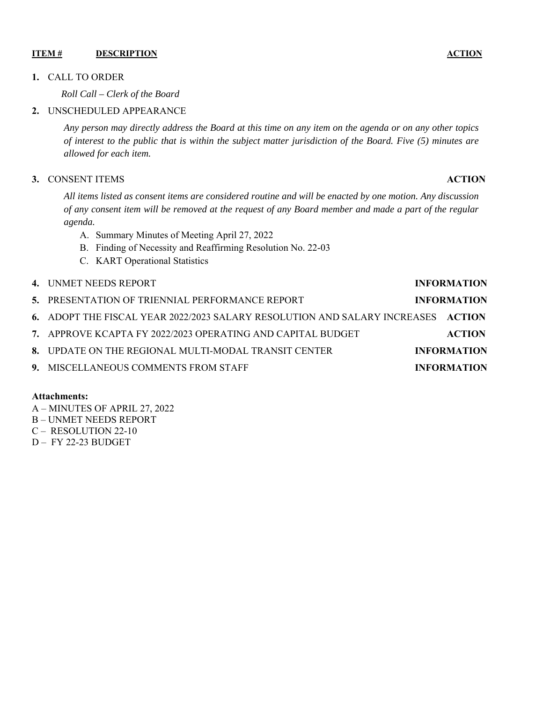#### **ITEM # DESCRIPTION ACTION** ACTION

#### **1.** CALL TO ORDER

*Roll Call – Clerk of the Board* 

## **2.** UNSCHEDULED APPEARANCE

*Any person may directly address the Board at this time on any item on the agenda or on any other topics of interest to the public that is within the subject matter jurisdiction of the Board. Five (5) minutes are allowed for each item.* 

#### **3.** CONSENT ITEMS **ACTION**

*All items listed as consent items are considered routine and will be enacted by one motion. Any discussion of any consent item will be removed at the request of any Board member and made a part of the regular agenda.* 

- A. Summary Minutes of Meeting April 27, 2022
- B. Finding of Necessity and Reaffirming Resolution No. 22-03
- C. KART Operational Statistics

# **4.** UNMET NEEDS REPORT **INFORMATION**

| 5. PRESENTATION OF TRIENNIAL PERFORMANCE REPORT                                  | <b>INFORMATION</b> |
|----------------------------------------------------------------------------------|--------------------|
| 6. ADOPT THE FISCAL YEAR 2022/2023 SALARY RESOLUTION AND SALARY INCREASES ACTION |                    |
| 7. APPROVE KCAPTA FY 2022/2023 OPERATING AND CAPITAL BUDGET                      | <b>ACTION</b>      |
| 8. UPDATE ON THE REGIONAL MULTI-MODAL TRANSIT CENTER                             | <b>INFORMATION</b> |
| 9. MISCELLANEOUS COMMENTS FROM STAFF                                             | <b>INFORMATION</b> |

#### **Attachments:**

- A MINUTES OF APRIL 27, 2022
- B UNMET NEEDS REPORT
- C RESOLUTION 22-10
- D FY 22-23 BUDGET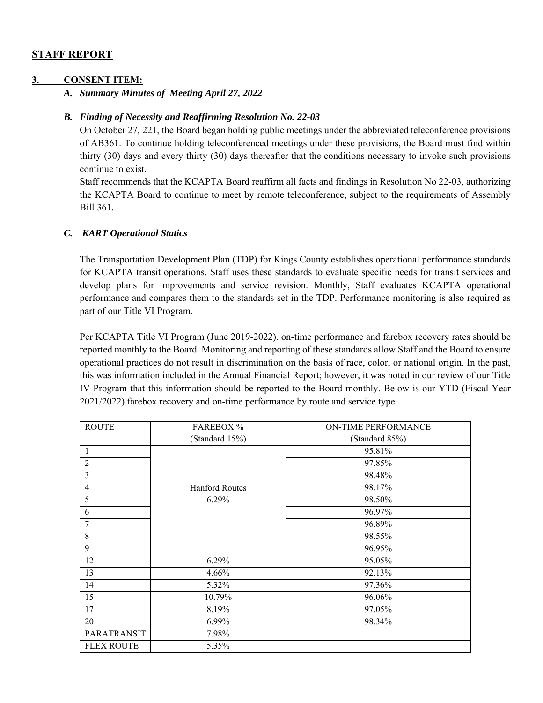## **STAFF REPORT**

#### **3. CONSENT ITEM:**

*A. Summary Minutes of Meeting April 27, 2022* 

#### *B. Finding of Necessity and Reaffirming Resolution No. 22-03*

On October 27, 221, the Board began holding public meetings under the abbreviated teleconference provisions of AB361. To continue holding teleconferenced meetings under these provisions, the Board must find within thirty (30) days and every thirty (30) days thereafter that the conditions necessary to invoke such provisions continue to exist.

Staff recommends that the KCAPTA Board reaffirm all facts and findings in Resolution No 22-03, authorizing the KCAPTA Board to continue to meet by remote teleconference, subject to the requirements of Assembly Bill 361.

#### *C. KART Operational Statics*

The Transportation Development Plan (TDP) for Kings County establishes operational performance standards for KCAPTA transit operations. Staff uses these standards to evaluate specific needs for transit services and develop plans for improvements and service revision. Monthly, Staff evaluates KCAPTA operational performance and compares them to the standards set in the TDP. Performance monitoring is also required as part of our Title VI Program.

 Per KCAPTA Title VI Program (June 2019-2022), on-time performance and farebox recovery rates should be reported monthly to the Board. Monitoring and reporting of these standards allow Staff and the Board to ensure operational practices do not result in discrimination on the basis of race, color, or national origin. In the past, this was information included in the Annual Financial Report; however, it was noted in our review of our Title IV Program that this information should be reported to the Board monthly. Below is our YTD (Fiscal Year 2021/2022) farebox recovery and on-time performance by route and service type.

| <b>ROUTE</b>      | <b>FAREBOX %</b>      | <b>ON-TIME PERFORMANCE</b> |
|-------------------|-----------------------|----------------------------|
|                   | (Standard 15%)        | (Standard 85%)             |
| 1                 |                       | 95.81%                     |
| $\overline{c}$    |                       | 97.85%                     |
| 3                 |                       | 98.48%                     |
| $\overline{4}$    | <b>Hanford Routes</b> | 98.17%                     |
| 5                 | 6.29%                 | 98.50%                     |
| 6                 |                       | 96.97%                     |
| 7                 |                       | 96.89%                     |
| 8                 |                       | 98.55%                     |
| 9                 |                       | 96.95%                     |
| 12                | 6.29%                 | 95.05%                     |
| 13                | 4.66%                 | 92.13%                     |
| 14                | 5.32%                 | 97.36%                     |
| 15                | 10.79%                | 96.06%                     |
| 17                | 8.19%                 | 97.05%                     |
| 20                | 6.99%                 | 98.34%                     |
| PARATRANSIT       | 7.98%                 |                            |
| <b>FLEX ROUTE</b> | 5.35%                 |                            |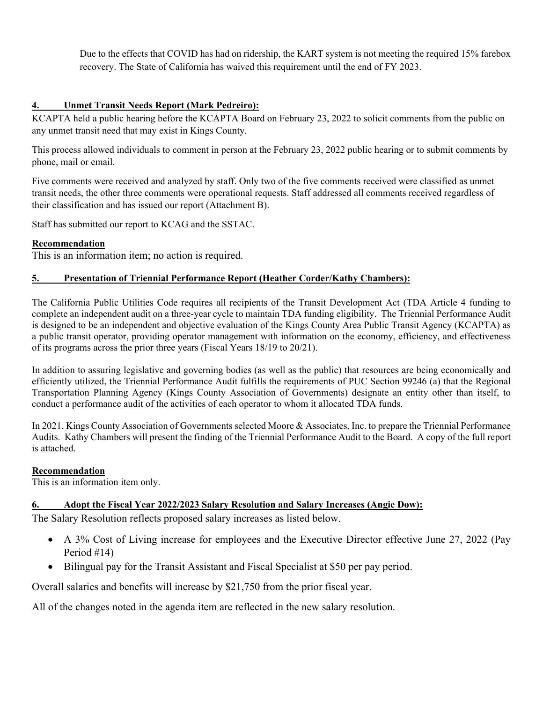Due to the effects that COVID has had on ridership, the KART system is not meeting the required 15% farebox recovery. The State of California has waived this requirement until the end of FY 2023.

## **4. Unmet Transit Needs Report (Mark Pedreiro):**

KCAPTA held a public hearing before the KCAPTA Board on February 23, 2022 to solicit comments from the public on any unmet transit need that may exist in Kings County.

This process allowed individuals to comment in person at the February 23, 2022 public hearing or to submit comments by phone, mail or email.

Five comments were received and analyzed by staff. Only two of the five comments received were classified as unmet transit needs, the other three comments were operational requests. Staff addressed all comments received regardless of their classification and has issued our report (Attachment B).

Staff has submitted our report to KCAG and the SSTAC.

## **Recommendation**

This is an information item; no action is required.

## **5. Presentation of Triennial Performance Report (Heather Corder/Kathy Chambers):**

The California Public Utilities Code requires all recipients of the Transit Development Act (TDA Article 4 funding to complete an independent audit on a three-year cycle to maintain TDA funding eligibility. The Triennial Performance Audit is designed to be an independent and objective evaluation of the Kings County Area Public Transit Agency (KCAPTA) as a public transit operator, providing operator management with information on the economy, efficiency, and effectiveness of its programs across the prior three years (Fiscal Years 18/19 to 20/21).

In addition to assuring legislative and governing bodies (as well as the public) that resources are being economically and efficiently utilized, the Triennial Performance Audit fulfills the requirements of PUC Section 99246 (a) that the Regional Transportation Planning Agency (Kings County Association of Governments) designate an entity other than itself, to conduct a performance audit of the activities of each operator to whom it allocated TDA funds.

In 2021, Kings County Association of Governments selected Moore & Associates, Inc. to prepare the Triennial Performance Audits. Kathy Chambers will present the finding of the Triennial Performance Audit to the Board. A copy of the full report is attached.

#### **Recommendation**

This is an information item only.

## **6. Adopt the Fiscal Year 2022/2023 Salary Resolution and Salary Increases (Angie Dow):**

The Salary Resolution reflects proposed salary increases as listed below.

- A 3% Cost of Living increase for employees and the Executive Director effective June 27, 2022 (Pay Period #14)
- Bilingual pay for the Transit Assistant and Fiscal Specialist at \$50 per pay period.

Overall salaries and benefits will increase by \$21,750 from the prior fiscal year.

All of the changes noted in the agenda item are reflected in the new salary resolution.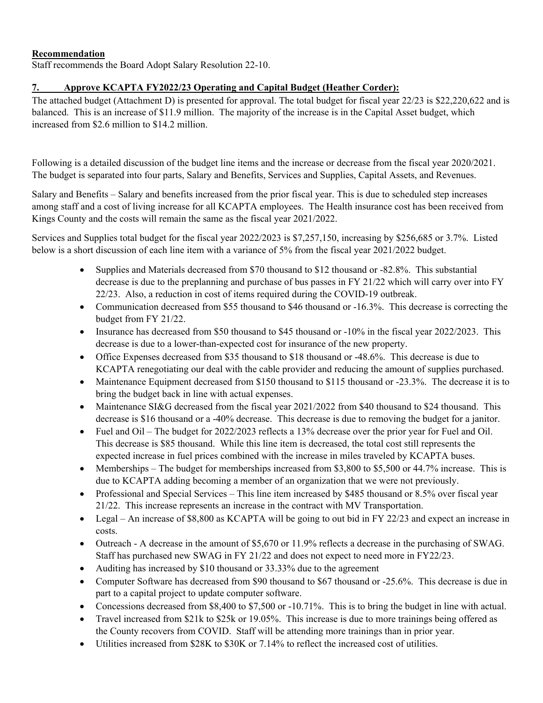## **Recommendation**

Staff recommends the Board Adopt Salary Resolution 22-10.

## **7. Approve KCAPTA FY2022/23 Operating and Capital Budget (Heather Corder):**

The attached budget (Attachment D) is presented for approval. The total budget for fiscal year 22/23 is \$22,220,622 and is balanced. This is an increase of \$11.9 million. The majority of the increase is in the Capital Asset budget, which increased from \$2.6 million to \$14.2 million.

Following is a detailed discussion of the budget line items and the increase or decrease from the fiscal year 2020/2021. The budget is separated into four parts, Salary and Benefits, Services and Supplies, Capital Assets, and Revenues.

Salary and Benefits – Salary and benefits increased from the prior fiscal year. This is due to scheduled step increases among staff and a cost of living increase for all KCAPTA employees. The Health insurance cost has been received from Kings County and the costs will remain the same as the fiscal year 2021/2022.

Services and Supplies total budget for the fiscal year 2022/2023 is \$7,257,150, increasing by \$256,685 or 3.7%. Listed below is a short discussion of each line item with a variance of 5% from the fiscal year 2021/2022 budget.

- Supplies and Materials decreased from \$70 thousand to \$12 thousand or -82.8%. This substantial decrease is due to the preplanning and purchase of bus passes in FY 21/22 which will carry over into FY 22/23. Also, a reduction in cost of items required during the COVID-19 outbreak.
- Communication decreased from \$55 thousand to \$46 thousand or -16.3%. This decrease is correcting the budget from FY 21/22.
- Insurance has decreased from \$50 thousand to \$45 thousand or -10% in the fiscal year 2022/2023. This decrease is due to a lower-than-expected cost for insurance of the new property.
- Office Expenses decreased from \$35 thousand to \$18 thousand or -48.6%. This decrease is due to KCAPTA renegotiating our deal with the cable provider and reducing the amount of supplies purchased.
- Maintenance Equipment decreased from \$150 thousand to \$115 thousand or -23.3%. The decrease it is to bring the budget back in line with actual expenses.
- Maintenance SI&G decreased from the fiscal year 2021/2022 from \$40 thousand to \$24 thousand. This decrease is \$16 thousand or a -40% decrease. This decrease is due to removing the budget for a janitor.
- Fuel and Oil The budget for 2022/2023 reflects a 13% decrease over the prior year for Fuel and Oil. This decrease is \$85 thousand. While this line item is decreased, the total cost still represents the expected increase in fuel prices combined with the increase in miles traveled by KCAPTA buses.
- Memberships The budget for memberships increased from \$3,800 to \$5,500 or 44.7% increase. This is due to KCAPTA adding becoming a member of an organization that we were not previously.
- Professional and Special Services This line item increased by \$485 thousand or 8.5% over fiscal year 21/22. This increase represents an increase in the contract with MV Transportation.
- Legal An increase of \$8,800 as KCAPTA will be going to out bid in FY 22/23 and expect an increase in costs.
- Outreach A decrease in the amount of \$5,670 or 11.9% reflects a decrease in the purchasing of SWAG. Staff has purchased new SWAG in FY 21/22 and does not expect to need more in FY22/23.
- Auditing has increased by \$10 thousand or 33.33% due to the agreement
- Computer Software has decreased from \$90 thousand to \$67 thousand or -25.6%. This decrease is due in part to a capital project to update computer software.
- Concessions decreased from  $$8,400$  to  $$7,500$  or  $-10.71\%$ . This is to bring the budget in line with actual.
- Travel increased from \$21k to \$25k or 19.05%. This increase is due to more trainings being offered as the County recovers from COVID. Staff will be attending more trainings than in prior year.
- Utilities increased from \$28K to \$30K or 7.14% to reflect the increased cost of utilities.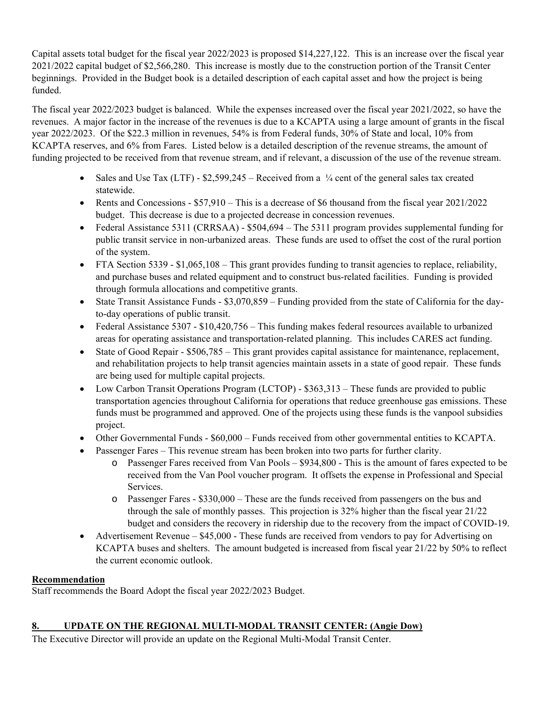Capital assets total budget for the fiscal year 2022/2023 is proposed \$14,227,122. This is an increase over the fiscal year 2021/2022 capital budget of \$2,566,280. This increase is mostly due to the construction portion of the Transit Center beginnings. Provided in the Budget book is a detailed description of each capital asset and how the project is being funded.

The fiscal year 2022/2023 budget is balanced. While the expenses increased over the fiscal year 2021/2022, so have the revenues. A major factor in the increase of the revenues is due to a KCAPTA using a large amount of grants in the fiscal year 2022/2023. Of the \$22.3 million in revenues, 54% is from Federal funds, 30% of State and local, 10% from KCAPTA reserves, and 6% from Fares. Listed below is a detailed description of the revenue streams, the amount of funding projected to be received from that revenue stream, and if relevant, a discussion of the use of the revenue stream.

- Sales and Use Tax (LTF)  $$2,599,245$  Received from a ¼ cent of the general sales tax created statewide.
- Rents and Concessions  $$57,910 This$  is a decrease of \$6 thousand from the fiscal year 2021/2022 budget. This decrease is due to a projected decrease in concession revenues.
- Federal Assistance 5311 (CRRSAA) \$504,694 The 5311 program provides supplemental funding for public transit service in non-urbanized areas. These funds are used to offset the cost of the rural portion of the system.
- $\bullet$  FTA Section 5339 \$1,065,108 This grant provides funding to transit agencies to replace, reliability, and purchase buses and related equipment and to construct bus-related facilities. Funding is provided through formula allocations and competitive grants.
- State Transit Assistance Funds \$3,070,859 Funding provided from the state of California for the dayto-day operations of public transit.
- Federal Assistance 5307 \$10,420,756 This funding makes federal resources available to urbanized areas for operating assistance and transportation-related planning. This includes CARES act funding.
- State of Good Repair \$506,785 This grant provides capital assistance for maintenance, replacement, and rehabilitation projects to help transit agencies maintain assets in a state of good repair. These funds are being used for multiple capital projects.
- Low Carbon Transit Operations Program (LCTOP) \$363,313 These funds are provided to public transportation agencies throughout California for operations that reduce greenhouse gas emissions. These funds must be programmed and approved. One of the projects using these funds is the vanpool subsidies project.
- Other Governmental Funds \$60,000 Funds received from other governmental entities to KCAPTA.
- Passenger Fares This revenue stream has been broken into two parts for further clarity.
	- o Passenger Fares received from Van Pools \$934,800 This is the amount of fares expected to be received from the Van Pool voucher program. It offsets the expense in Professional and Special Services.
	- o Passenger Fares \$330,000 These are the funds received from passengers on the bus and through the sale of monthly passes. This projection is 32% higher than the fiscal year 21/22 budget and considers the recovery in ridership due to the recovery from the impact of COVID-19.
- Advertisement Revenue \$45,000 These funds are received from vendors to pay for Advertising on KCAPTA buses and shelters. The amount budgeted is increased from fiscal year 21/22 by 50% to reflect the current economic outlook.

## **Recommendation**

Staff recommends the Board Adopt the fiscal year 2022/2023 Budget.

## **8. UPDATE ON THE REGIONAL MULTI-MODAL TRANSIT CENTER: (Angie Dow)**

The Executive Director will provide an update on the Regional Multi-Modal Transit Center.